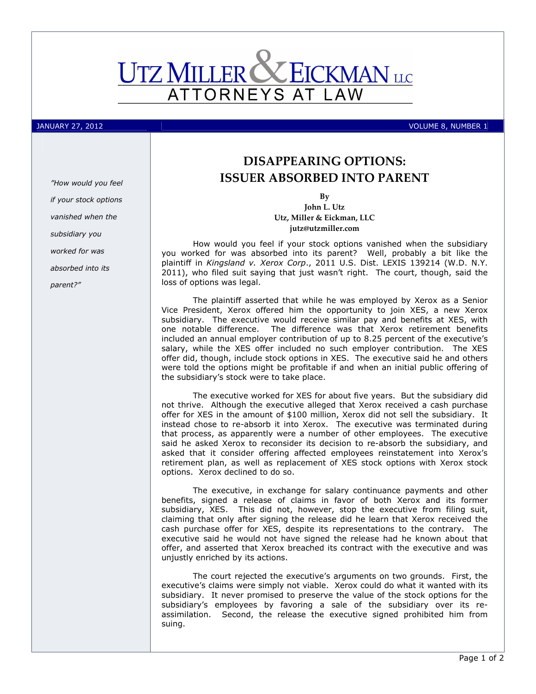

## JANUARY 27, 2012 VOLUME 8, NUMBER 1

"How would you feel if your stock options vanished when the subsidiary you worked for was absorbed into its parent?"

## DISAPPEARING OPTIONS: ISSUER ABSORBED INTO PARENT

By

John L. Utz Utz, Miller & Eickman, LLC jutz@utzmiller.com

How would you feel if your stock options vanished when the subsidiary you worked for was absorbed into its parent? Well, probably a bit like the plaintiff in Kingsland v. Xerox Corp., 2011 U.S. Dist. LEXIS 139214 (W.D. N.Y. 2011), who filed suit saying that just wasn't right. The court, though, said the loss of options was legal.

The plaintiff asserted that while he was employed by Xerox as a Senior Vice President, Xerox offered him the opportunity to join XES, a new Xerox subsidiary. The executive would receive similar pay and benefits at XES, with one notable difference. The difference was that Xerox retirement benefits included an annual employer contribution of up to 8.25 percent of the executive's salary, while the XES offer included no such employer contribution. The XES offer did, though, include stock options in XES. The executive said he and others were told the options might be profitable if and when an initial public offering of the subsidiary's stock were to take place.

The executive worked for XES for about five years. But the subsidiary did not thrive. Although the executive alleged that Xerox received a cash purchase offer for XES in the amount of \$100 million, Xerox did not sell the subsidiary. It instead chose to re-absorb it into Xerox. The executive was terminated during that process, as apparently were a number of other employees. The executive said he asked Xerox to reconsider its decision to re-absorb the subsidiary, and asked that it consider offering affected employees reinstatement into Xerox's retirement plan, as well as replacement of XES stock options with Xerox stock options. Xerox declined to do so.

The executive, in exchange for salary continuance payments and other benefits, signed a release of claims in favor of both Xerox and its former subsidiary, XES. This did not, however, stop the executive from filing suit, claiming that only after signing the release did he learn that Xerox received the cash purchase offer for XES, despite its representations to the contrary. The executive said he would not have signed the release had he known about that offer, and asserted that Xerox breached its contract with the executive and was unjustly enriched by its actions.

The court rejected the executive's arguments on two grounds. First, the executive's claims were simply not viable. Xerox could do what it wanted with its subsidiary. It never promised to preserve the value of the stock options for the subsidiary's employees by favoring a sale of the subsidiary over its reassimilation. Second, the release the executive signed prohibited him from suing.